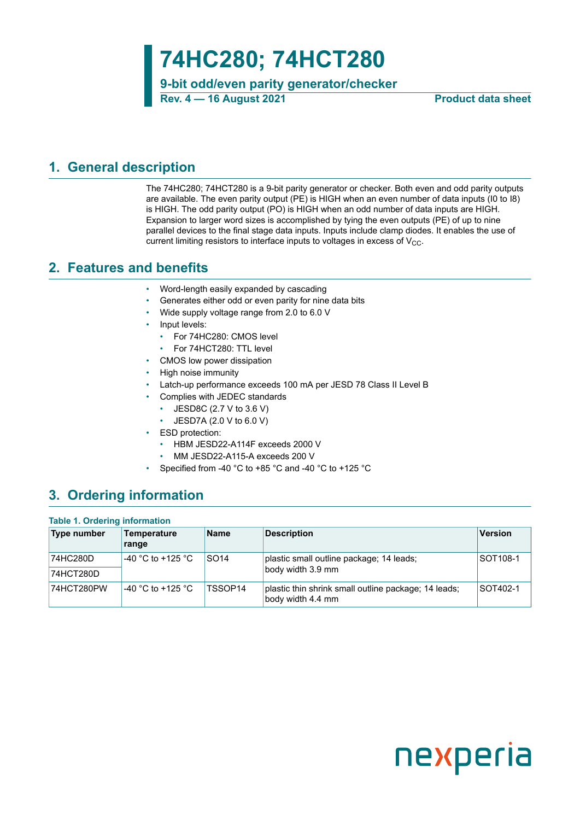**74HC280; 74HCT280**

**9-bit odd/even parity generator/checker Rev. 4 — 16 August 2021 Product data sheet**

### <span id="page-0-0"></span>**1. General description**

The 74HC280; 74HCT280 is a 9-bit parity generator or checker. Both even and odd parity outputs are available. The even parity output (PE) is HIGH when an even number of data inputs (I0 to I8) is HIGH. The odd parity output (PO) is HIGH when an odd number of data inputs are HIGH. Expansion to larger word sizes is accomplished by tying the even outputs (PE) of up to nine parallel devices to the final stage data inputs. Inputs include clamp diodes. It enables the use of current limiting resistors to interface inputs to voltages in excess of  $V_{CC}$ .

### <span id="page-0-1"></span>**2. Features and benefits**

- Word-length easily expanded by cascading
- Generates either odd or even parity for nine data bits
- Wide supply voltage range from 2.0 to 6.0 V
- Input levels:
	- For 74HC280: CMOS level
	- For 74HCT280: TTL level
- CMOS low power dissipation
- High noise immunity
- Latch-up performance exceeds 100 mA per JESD 78 Class II Level B
- Complies with JEDEC standards
	- JESD8C (2.7 V to 3.6 V)
	- JESD7A (2.0 V to 6.0 V)
- ESD protection:
	- HBM JESD22-A114F exceeds 2000 V
	- MM JESD22-A115-A exceeds 200 V
- Specified from -40 °C to +85 °C and -40 °C to +125 °C

### <span id="page-0-2"></span>**3. Ordering information**

| Type number | <b>Temperature</b><br>range | <b>Name</b>         | <b>Description</b>                                                        | <b>Version</b>       |
|-------------|-----------------------------|---------------------|---------------------------------------------------------------------------|----------------------|
| 74HC280D    | $-40$ °C to +125 °C         | SO <sub>14</sub>    | plastic small outline package; 14 leads;                                  | SOT <sub>108-1</sub> |
| 74HCT280D   |                             |                     | body width 3.9 mm                                                         |                      |
| 74HCT280PW  | $-40$ °C to +125 °C         | TSSOP <sub>14</sub> | plastic thin shrink small outline package; 14 leads;<br>body width 4.4 mm | SOT402-1             |

# nexperia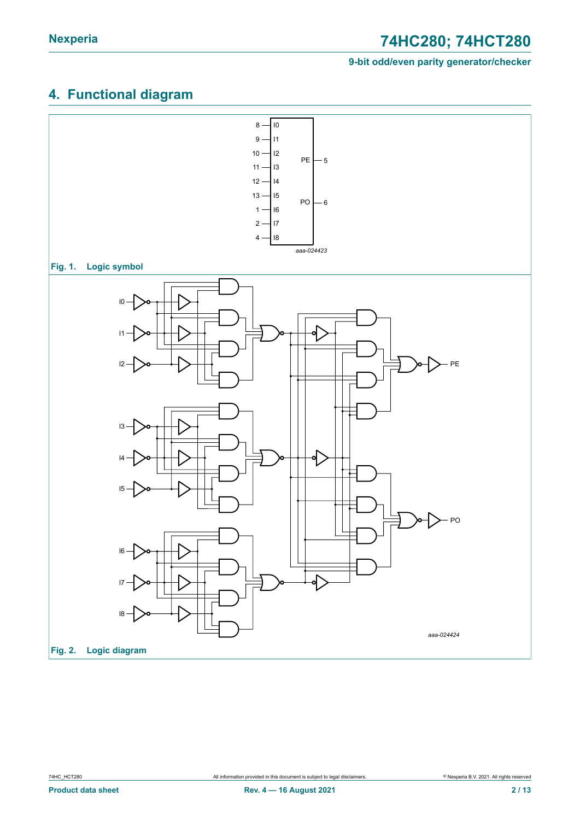### **9-bit odd/even parity generator/checker**

# <span id="page-1-0"></span>**4. Functional diagram**

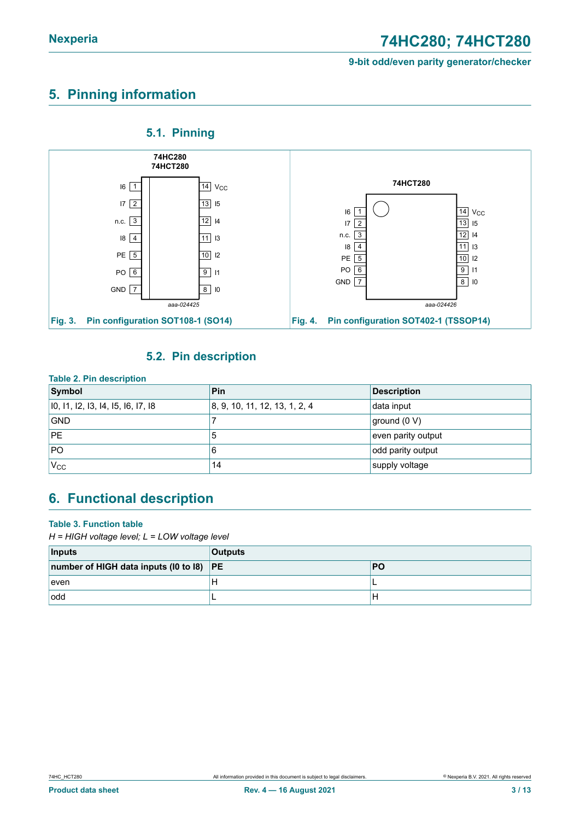### <span id="page-2-0"></span>**5. Pinning information**

<span id="page-2-1"></span>



### <span id="page-2-2"></span>**5.2. Pin description**

| <b>Table 2. Pin description</b>    |                                             |                    |  |  |  |  |
|------------------------------------|---------------------------------------------|--------------------|--|--|--|--|
| <b>Symbol</b>                      | Pin                                         | <b>Description</b> |  |  |  |  |
| 10, 11, 12, 13, 14, 15, 16, 17, 18 | $\vert 8, 9, 10, 11, 12, 13, 1, 2, 4 \vert$ | data input         |  |  |  |  |
| <b>GND</b>                         |                                             | ground (0 V)       |  |  |  |  |
| <b>PE</b>                          | 5                                           | even parity output |  |  |  |  |
| P <sub>O</sub>                     | 6                                           | odd parity output  |  |  |  |  |
| V <sub>CC</sub>                    | 14                                          | supply voltage     |  |  |  |  |

### <span id="page-2-3"></span>**6. Functional description**

#### **Table 3. Function table**

*H = HIGH voltage level; L = LOW voltage level*

| Inputs                                   | <b>Outputs</b> |           |  |  |  |  |
|------------------------------------------|----------------|-----------|--|--|--|--|
| number of HIGH data inputs (10 to 18) PE |                | <b>PO</b> |  |  |  |  |
| leven                                    | н              |           |  |  |  |  |
| lodd                                     |                | ۲         |  |  |  |  |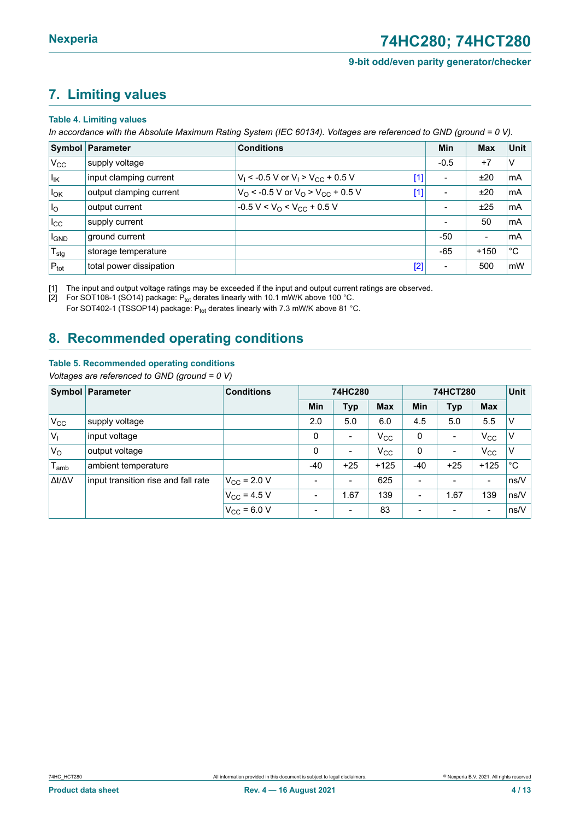### <span id="page-3-1"></span><span id="page-3-0"></span>**7. Limiting values**

#### **Table 4. Limiting values**

In accordance with the Absolute Maximum Rating System (IEC 60134). Voltages are referenced to GND (ground = 0 V).

|                                           | <b>Symbol Parameter</b> | <b>Conditions</b>                                                                                                                                                                                                                                                    | Min                      | <b>Max</b>               | <b>Unit</b> |
|-------------------------------------------|-------------------------|----------------------------------------------------------------------------------------------------------------------------------------------------------------------------------------------------------------------------------------------------------------------|--------------------------|--------------------------|-------------|
| $V_{CC}$                                  | supply voltage          |                                                                                                                                                                                                                                                                      | $-0.5$                   | $+7$                     | V           |
| $I_{IK}$                                  | input clamping current  | $V_1$ < -0.5 V or $V_1$ > $V_{CC}$ + 0.5 V<br>$[1] % \includegraphics[width=0.9\columnwidth]{figures/fig_10.pdf} \caption{The figure shows the number of times on the right panel. The left panel shows the number of times on the right panel.} \label{fig:time} %$ | $\overline{\phantom{a}}$ | ±20                      | mA          |
| $I_{OK}$                                  | output clamping current | $V_O$ < -0.5 V or $V_O$ > $V_{CC}$ + 0.5 V<br>$[1] % \includegraphics[width=0.9\columnwidth]{figures/fig_10.pdf} \caption{The figure shows the number of times on the right panel. The left panel shows the number of times on the right panel.} \label{fig:time} %$ | $\overline{\phantom{a}}$ | ±20                      | mA          |
| $\vert$ l <sub>O</sub>                    | output current          | $-0.5 V < VO < VCC + 0.5 V$                                                                                                                                                                                                                                          | $\blacksquare$           | ±25                      | mA          |
| $I_{\rm CC}$                              | supply current          |                                                                                                                                                                                                                                                                      | $\overline{\phantom{a}}$ | 50                       | mA          |
| <b>I</b> GND                              | ground current          |                                                                                                                                                                                                                                                                      | -50                      | $\overline{\phantom{a}}$ | mA          |
| ${ }^{\shortmid }\mathsf{T}_{\text{stg}}$ | storage temperature     |                                                                                                                                                                                                                                                                      | -65                      | $+150$                   | °C          |
| $P_{\text{tot}}$                          | total power dissipation | $[2]$                                                                                                                                                                                                                                                                | $\overline{\phantom{a}}$ | 500                      | mW          |

[1] The input and output voltage ratings may be exceeded if the input and output current ratings are observed.<br>[2] For SOT108-1 (SO14) package: P<sub>tot</sub> derates linearly with 10.1 mW/K above 100 °C.

For SOT108-1 (SO14) package:  $P_{tot}$  derates linearly with 10.1 mW/K above 100 °C.

For SOT402-1 (TSSOP14) package: P<sub>tot</sub> derates linearly with 7.3 mW/K above 81 °C.

### <span id="page-3-2"></span>**8. Recommended operating conditions**

#### **Table 5. Recommended operating conditions**

*Voltages are referenced to GND (ground = 0 V)*

|                     | Symbol Parameter                    | <b>Conditions</b>       |                          | 74HC280                      |              |                          | <b>74HCT280</b>          |                          |             |
|---------------------|-------------------------------------|-------------------------|--------------------------|------------------------------|--------------|--------------------------|--------------------------|--------------------------|-------------|
|                     |                                     |                         | Min                      | <b>Typ</b>                   | <b>Max</b>   | <b>Min</b>               | <b>Typ</b>               | <b>Max</b>               |             |
| $V_{\rm CC}$        | supply voltage                      |                         | 2.0                      | 5.0                          | 6.0          | 4.5                      | 5.0                      | 5.5                      | ١V          |
| $ V_1$              | input voltage                       |                         | 0                        | $\qquad \qquad \blacksquare$ | $V_{\rm CC}$ | 0                        | $\overline{\phantom{a}}$ | $V_{\rm CC}$             | ΙV          |
| $V_{\rm O}$         | output voltage                      |                         | 0                        | $\overline{\phantom{a}}$     | $V_{\rm CC}$ | 0                        | $\overline{\phantom{a}}$ | $V_{\rm CC}$             | ١V          |
| $T_{\mathsf{amb}}$  | ambient temperature                 |                         | $-40$                    | $+25$                        | $+125$       | $-40$                    | $+25$                    | $+125$                   | $^{\circ}C$ |
| $\Delta t/\Delta V$ | input transition rise and fall rate | $V_{\rm CC}$ = 2.0 V    | $\overline{\phantom{a}}$ | $\blacksquare$               | 625          | $\overline{\phantom{0}}$ |                          | $\overline{\phantom{a}}$ | ns/V        |
|                     |                                     | $V_{\rm CC}$ = 4.5 V    | -                        | 1.67                         | 139          | $\overline{\phantom{0}}$ | 1.67                     | 139                      | ns/V        |
|                     |                                     | $V_{\text{CC}}$ = 6.0 V | $\overline{\phantom{0}}$ |                              | 83           | $\overline{\phantom{0}}$ |                          | $\overline{\phantom{a}}$ | ns/V        |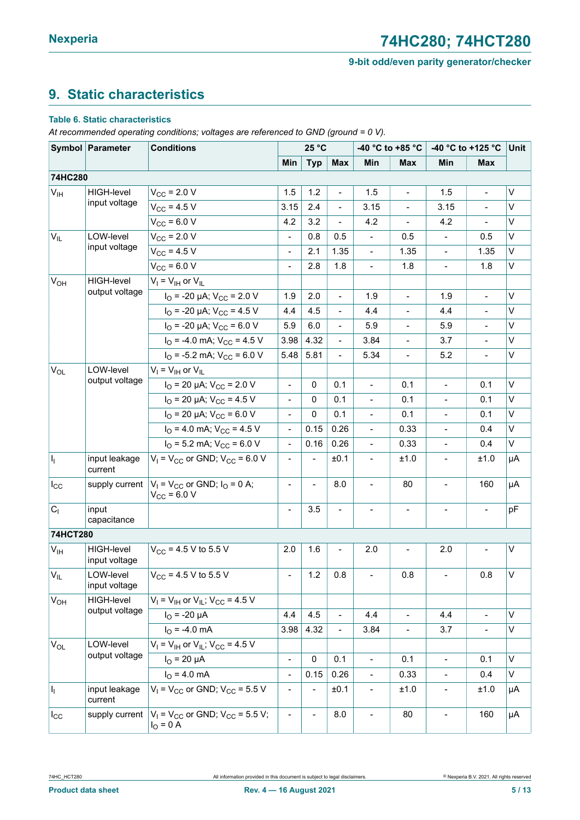# <span id="page-4-0"></span>**9. Static characteristics**

#### **Table 6. Static characteristics**

*At recommended operating conditions; voltages are referenced to GND (ground = 0 V).*

| Symbol Parameter           |                                    | <b>Conditions</b>                                           |                              | 25 °C          |                          | -40 °C to +85 °C         |                          | -40 °C to +125 °C            |                          | Unit    |
|----------------------------|------------------------------------|-------------------------------------------------------------|------------------------------|----------------|--------------------------|--------------------------|--------------------------|------------------------------|--------------------------|---------|
|                            |                                    |                                                             | Min                          | <b>Typ</b>     | <b>Max</b>               | Min                      | <b>Max</b>               | Min                          | <b>Max</b>               |         |
| 74HC280                    |                                    |                                                             |                              |                |                          |                          |                          |                              |                          |         |
| V <sub>IH</sub>            | <b>HIGH-level</b>                  | $V_{CC}$ = 2.0 V                                            | 1.5                          | 1.2            | $\blacksquare$           | 1.5                      | $\blacksquare$           | 1.5                          | $\overline{a}$           | $\vee$  |
|                            | input voltage                      | $V_{CC}$ = 4.5 V                                            | 3.15                         | 2.4            | $\overline{\phantom{a}}$ | 3.15                     | $\blacksquare$           | 3.15                         | $\overline{\phantom{0}}$ | V       |
|                            |                                    | $V_{CC}$ = 6.0 V                                            | 4.2                          | 3.2            |                          | 4.2                      |                          | 4.2                          |                          | $\vee$  |
| $V_{IL}$                   | LOW-level                          | $V_{CC}$ = 2.0 V                                            | $\blacksquare$               | 0.8            | 0.5                      | $\blacksquare$           | 0.5                      | $\blacksquare$               | 0.5                      | V       |
|                            | input voltage                      | $V_{CC}$ = 4.5 V                                            |                              | 2.1            | 1.35                     | $\overline{a}$           | 1.35                     | $\overline{a}$               | 1.35                     | V       |
|                            |                                    | $V_{\rm CC}$ = 6.0 V                                        | $\overline{a}$               | 2.8            | 1.8                      | $\blacksquare$           | 1.8                      | $\blacksquare$               | 1.8                      | V       |
| <b>V<sub>OH</sub></b>      | <b>HIGH-level</b>                  | $V_I = V_{IH}$ or $V_{IL}$                                  |                              |                |                          |                          |                          |                              |                          |         |
|                            | output voltage                     | $I_{\text{O}}$ = -20 µA; $V_{\text{CC}}$ = 2.0 V            | 1.9                          | 2.0            | $\overline{\phantom{a}}$ | 1.9                      | $\blacksquare$           | 1.9                          | $\overline{\phantom{a}}$ | V       |
|                            |                                    | $I_{\text{O}}$ = -20 µA; $V_{\text{CC}}$ = 4.5 V            | 4.4                          | 4.5            | $\overline{\phantom{a}}$ | 4.4                      |                          | 4.4                          |                          | $\vee$  |
|                            |                                    | $I_{\text{O}}$ = -20 µA; $V_{\text{CC}}$ = 6.0 V            | 5.9                          | 6.0            | $\blacksquare$           | 5.9                      | $\overline{\phantom{a}}$ | 5.9                          | $\overline{\phantom{0}}$ | V       |
|                            |                                    | $IO$ = -4.0 mA; $VCC$ = 4.5 V                               | 3.98                         | 4.32           |                          | 3.84                     |                          | 3.7                          |                          | V       |
|                            |                                    | $I_{\text{O}}$ = -5.2 mA; $V_{\text{CC}}$ = 6.0 V           | 5.48                         | 5.81           | $\blacksquare$           | 5.34                     | $\blacksquare$           | 5.2                          | $\overline{\phantom{a}}$ | V       |
| $V_{OL}$                   | LOW-level                          | $V_I = V_{IH}$ or $V_{IL}$                                  |                              |                |                          |                          |                          |                              |                          |         |
|                            | output voltage                     | $I_{\text{O}}$ = 20 µA; $V_{\text{CC}}$ = 2.0 V             | $\overline{a}$               | 0              | 0.1                      | $\overline{\phantom{0}}$ | 0.1                      | $\overline{a}$               | 0.1                      | $\vee$  |
|                            |                                    | $I_{\text{O}}$ = 20 µA; $V_{\text{CC}}$ = 4.5 V             | $\frac{1}{2}$                | 0              | 0.1                      | $\overline{\phantom{0}}$ | 0.1                      | $\frac{1}{2}$                | 0.1                      | V       |
|                            |                                    | $I_{\Omega}$ = 20 µA; $V_{CC}$ = 6.0 V                      |                              | 0              | 0.1                      | $\overline{\phantom{0}}$ | 0.1                      | $\blacksquare$               | 0.1                      | V       |
|                            |                                    | $IO$ = 4.0 mA; $VCC$ = 4.5 V                                | $\overline{\phantom{a}}$     | 0.15           | 0.26                     | $\overline{\phantom{0}}$ | 0.33                     | $\blacksquare$               | 0.4                      | V       |
|                            |                                    | $I_{\text{O}}$ = 5.2 mA; $V_{\text{CC}}$ = 6.0 V            |                              | 0.16           | 0.26                     | $\overline{a}$           | 0.33                     | $\overline{a}$               | 0.4                      | V       |
| $\mathbf{I}_{\mathrm{I}}$  | input leakage<br>current           | $V_1$ = $V_{CC}$ or GND; $V_{CC}$ = 6.0 V                   | $\overline{\phantom{a}}$     |                | ±0.1                     | $\blacksquare$           | ±1.0                     | $\blacksquare$               | ±1.0                     | μA      |
| $I_{\rm CC}$               | supply current                     | $V_1 = V_{CC}$ or GND; $I_Q = 0$ A;<br>$V_{CC}$ = 6.0 V     |                              | $\overline{a}$ | 8.0                      | $\overline{\phantom{0}}$ | 80                       | $\blacksquare$               | 160                      | μA      |
| C <sub>1</sub>             | input<br>capacitance               |                                                             | $\qquad \qquad \blacksquare$ | 3.5            |                          |                          |                          |                              |                          | pF      |
| 74HCT280                   |                                    |                                                             |                              |                |                          |                          |                          |                              |                          |         |
| $V_{\text{IH}}$            | <b>HIGH-level</b><br>input voltage | $V_{\text{CC}}$ = 4.5 V to 5.5 V                            | 2.0                          | 1.6            | $\overline{\phantom{a}}$ | 2.0                      |                          | 2.0                          |                          | $\sf V$ |
| $\mathsf{V}_{\mathsf{IL}}$ | LOW-level<br>input voltage         | $V_{CC}$ = 4.5 V to 5.5 V                                   | $\overline{\phantom{a}}$     | 1.2            | 0.8                      | $\blacksquare$           | 0.8                      | $\blacksquare$               | 0.8                      | V       |
| $V_{OH}$                   | HIGH-level                         | $V_1$ = $V_{1H}$ or $V_{1L}$ ; $V_{CC}$ = 4.5 V             |                              |                |                          |                          |                          |                              |                          |         |
|                            | output voltage                     | $I_{\Omega}$ = -20 µA                                       | 4.4                          | 4.5            | $\blacksquare$           | 4.4                      |                          | 4.4                          |                          | V       |
|                            |                                    | $IO = -4.0$ mA                                              | 3.98                         | 4.32           | $\blacksquare$           | 3.84                     | $\overline{\phantom{a}}$ | 3.7                          | $\overline{\phantom{a}}$ | V       |
| $V_{OL}$                   | LOW-level                          | $V_1 = V_{IH}$ or $V_{IL}$ ; $V_{CC} = 4.5$ V               |                              |                |                          |                          |                          |                              |                          |         |
|                            | output voltage                     | $I_{\Omega}$ = 20 µA                                        | $\qquad \qquad \blacksquare$ | 0              | 0.1                      | $\overline{\phantom{0}}$ | 0.1                      | $\frac{1}{2}$                | 0.1                      | V       |
|                            |                                    | $I_{\Omega}$ = 4.0 mA                                       | $\qquad \qquad \blacksquare$ | 0.15           | 0.26                     | $\overline{\phantom{0}}$ | 0.33                     | $\qquad \qquad \blacksquare$ | 0.4                      | V       |
| h,                         | input leakage<br>current           | $V_1$ = $V_{CC}$ or GND; $V_{CC}$ = 5.5 V                   |                              |                | ±0.1                     |                          | ±1.0                     |                              | ±1.0                     | μA      |
| $I_{\rm CC}$               | supply current                     | $V_1$ = $V_{CC}$ or GND; $V_{CC}$ = 5.5 V;<br>$I_{O} = 0 A$ |                              |                | 8.0                      |                          | 80                       |                              | 160                      | μA      |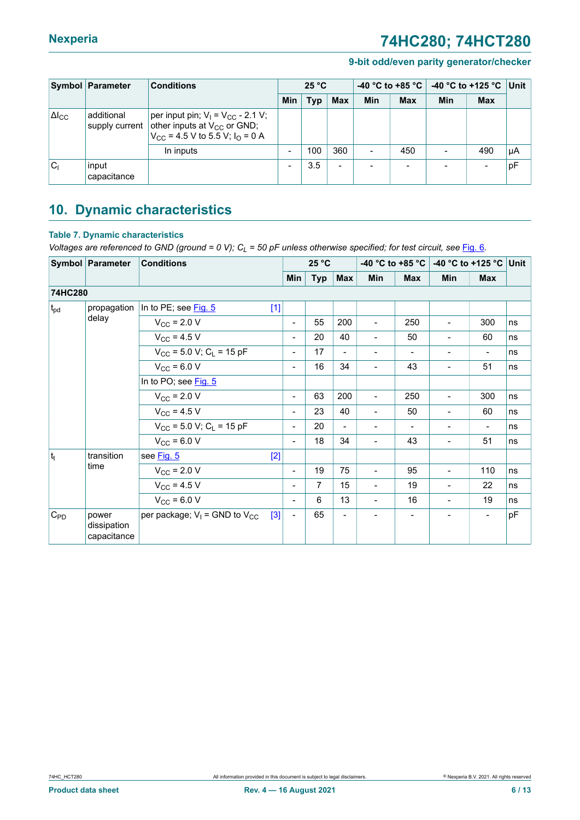### **9-bit odd/even parity generator/checker**

|                     | Symbol Parameter     | <b>Conditions</b>                                                                                                                                     |            | 25 °C      |                          | -40 °C to +85 °C $\vert$ |            | -40 °C to +125 °C Unit |            |    |
|---------------------|----------------------|-------------------------------------------------------------------------------------------------------------------------------------------------------|------------|------------|--------------------------|--------------------------|------------|------------------------|------------|----|
|                     |                      |                                                                                                                                                       | <b>Min</b> | <b>Typ</b> | <b>Max</b>               | <b>Min</b>               | <b>Max</b> | Min                    | <b>Max</b> |    |
| $\Delta I_{\rm CC}$ | additional           | per input pin; $V_1$ = $V_{CC}$ - 2.1 V;<br>supply current other inputs at $V_{CC}$ or GND;<br>$V_{\text{CC}}$ = 4.5 V to 5.5 V; $I_{\text{O}}$ = 0 A |            |            |                          |                          |            |                        |            |    |
|                     |                      | In inputs                                                                                                                                             |            | 100        | 360                      |                          | 450        |                        | 490        | μA |
| $ C_1 $             | input<br>capacitance |                                                                                                                                                       |            | 3.5        | $\overline{\phantom{0}}$ |                          |            |                        |            | pF |

### <span id="page-5-0"></span>**10. Dynamic characteristics**

#### **Table 7. Dynamic characteristics**

*Voltages* are *referenced* to GND (ground = 0 V);  $C_L$  = 50 pF unless otherwise specified; for test circuit, see [Fig. 6](#page-7-0).

|          | Symbol Parameter                    | <b>Conditions</b>                             |                          | 25 °C          |                          |                          |                          | -40 °C to +85 °C $\mid$ -40 °C to +125 °C Unit |                              |    |
|----------|-------------------------------------|-----------------------------------------------|--------------------------|----------------|--------------------------|--------------------------|--------------------------|------------------------------------------------|------------------------------|----|
|          |                                     |                                               | Min                      | <b>Typ</b>     | <b>Max</b>               | Min                      | <b>Max</b>               | <b>Min</b>                                     | <b>Max</b>                   |    |
| 74HC280  |                                     |                                               |                          |                |                          |                          |                          |                                                |                              |    |
| $t_{pd}$ | propagation                         | $[1]$<br>In to PE; see Fig. 5                 |                          |                |                          |                          |                          |                                                |                              |    |
|          | delay                               | $V_{\text{CC}}$ = 2.0 V                       | $\overline{\phantom{0}}$ | 55             | 200                      | $\blacksquare$           | 250                      | $\blacksquare$                                 | 300                          | ns |
|          |                                     | $V_{\rm CC}$ = 4.5 V                          | $\blacksquare$           | 20             | 40                       | $\blacksquare$           | 50                       | $\overline{\phantom{a}}$                       | 60                           | ns |
|          |                                     | $V_{CC}$ = 5.0 V; C <sub>L</sub> = 15 pF      | $\blacksquare$           | 17             | $\overline{\phantom{0}}$ | $\overline{\phantom{a}}$ | $\overline{\phantom{a}}$ | $\overline{\phantom{a}}$                       | $\qquad \qquad \blacksquare$ | ns |
|          |                                     | $V_{CC}$ = 6.0 V                              | $\blacksquare$           | 16             | 34                       |                          | 43                       | $\overline{\phantom{a}}$                       | 51                           | ns |
|          |                                     | In to PO; see Fig. 5                          |                          |                |                          |                          |                          |                                                |                              |    |
|          |                                     | $V_{\rm CC}$ = 2.0 V                          | $\blacksquare$           | 63             | 200                      | $\blacksquare$           | 250                      | $\blacksquare$                                 | 300                          | ns |
|          |                                     | $V_{\rm CC}$ = 4.5 V                          | $\blacksquare$           | 23             | 40                       | $\blacksquare$           | 50                       | $\overline{\phantom{a}}$                       | 60                           | ns |
|          |                                     | $V_{CC}$ = 5.0 V; C <sub>L</sub> = 15 pF      | $\overline{\phantom{0}}$ | 20             | $\overline{\phantom{0}}$ | $\overline{\phantom{a}}$ | $\blacksquare$           | $\overline{\phantom{a}}$                       | $\qquad \qquad \blacksquare$ | ns |
|          |                                     | $V_{\rm CC}$ = 6.0 V                          | $\blacksquare$           | 18             | 34                       | $\blacksquare$           | 43                       | $\blacksquare$                                 | 51                           | ns |
| $ t_t $  | transition                          | [2]<br>see Fig. 5                             |                          |                |                          |                          |                          |                                                |                              |    |
|          | time                                | $V_{\rm CC}$ = 2.0 V                          | $\blacksquare$           | 19             | 75                       |                          | 95                       |                                                | 110                          | ns |
|          |                                     | $V_{CC}$ = 4.5 V                              | $\blacksquare$           | $\overline{7}$ | 15                       | $\blacksquare$           | 19                       | $\overline{\phantom{a}}$                       | 22                           | ns |
|          |                                     | $V_{CC}$ = 6.0 V                              | $\blacksquare$           | 6              | 13                       | $\overline{\phantom{a}}$ | 16                       | $\overline{\phantom{a}}$                       | 19                           | ns |
| $C_{PD}$ | power<br>dissipation<br>capacitance | per package; $V_1$ = GND to $V_{CC}$<br>$[3]$ | $\overline{\phantom{0}}$ | 65             |                          |                          |                          |                                                | $\overline{a}$               | pF |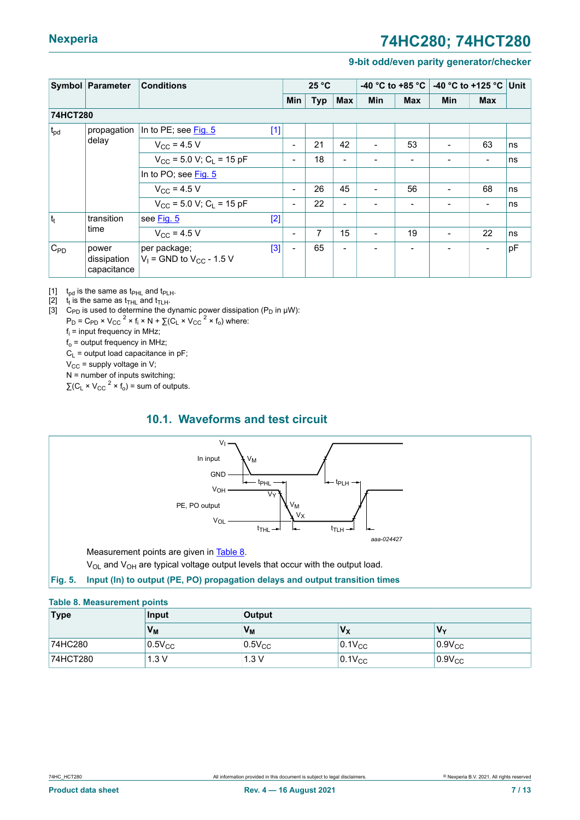#### **9-bit odd/even parity generator/checker**

<span id="page-6-1"></span>

|                 | Symbol Parameter                    | <b>Conditions</b>                                      |                          | 25 °C      |                          |            |                          | -40 °C to +85 °C $\vert$ -40 °C to +125 °C Unit |                          |    |
|-----------------|-------------------------------------|--------------------------------------------------------|--------------------------|------------|--------------------------|------------|--------------------------|-------------------------------------------------|--------------------------|----|
|                 |                                     |                                                        | <b>Min</b>               | <b>Typ</b> | <b>Max</b>               | <b>Min</b> | <b>Max</b>               | Min                                             | <b>Max</b>               |    |
| <b>74HCT280</b> |                                     |                                                        |                          |            |                          |            |                          |                                                 |                          |    |
| $t_{pd}$        | propagation                         | $[1]$<br>In to PE; see $Fig. 5$                        |                          |            |                          |            |                          |                                                 |                          |    |
|                 | delay                               | $V_{\text{CC}}$ = 4.5 V                                | $\blacksquare$           | 21         | 42                       |            | 53                       |                                                 | 63                       | ns |
|                 |                                     | $V_{CC}$ = 5.0 V; C <sub>i</sub> = 15 pF               | $\blacksquare$           | 18         | $\overline{\phantom{0}}$ |            | $\overline{\phantom{a}}$ |                                                 | $\blacksquare$           | ns |
|                 |                                     | In to PO; see Fig. 5                                   |                          |            |                          |            |                          |                                                 |                          |    |
|                 |                                     | $V_{CC}$ = 4.5 V                                       | $\blacksquare$           | 26         | 45                       |            | 56                       |                                                 | 68                       | ns |
|                 |                                     | $V_{CC}$ = 5.0 V; C <sub>1</sub> = 15 pF               | $\blacksquare$           | 22         | Ξ.                       |            | $\overline{\phantom{a}}$ |                                                 | $\blacksquare$           | ns |
| $ t_t $         | transition                          | [2]<br>see Fig. 5                                      |                          |            |                          |            |                          |                                                 |                          |    |
|                 | time                                | $V_{\rm CC}$ = 4.5 V                                   | $\overline{\phantom{0}}$ | 7          | 15                       |            | 19                       |                                                 | 22                       | ns |
| $C_{PD}$        | power<br>dissipation<br>capacitance | [3]<br>per package;<br>$V_1$ = GND to $V_{CC}$ - 1.5 V | $\overline{\phantom{a}}$ | 65         | Ξ.                       |            | $\blacksquare$           |                                                 | $\overline{\phantom{0}}$ | pF |

[1]  $\;$  t<sub>pd</sub> is the same as t<sub>PHL</sub> and t<sub>PLH</sub>.

[2]  $t_t$  is the same as  $t_{\text{THL}}$  and  $t_{\text{TLH}}$ .

[3]  $\,$  C<sub>PD</sub> is used to determine the dynamic power dissipation (P<sub>D</sub> in μW):

 $P_D = C_{PD} \times V_{CC}^2 \times f_i \times N + \sum (C_L \times V_{CC}^2 \times f_o)$  where:

fi = input frequency in MHz;

 $f_0$  = output frequency in MHz;

 $C_L$  = output load capacitance in pF;

 $V_{CC}$  = supply voltage in V;

N = number of inputs switching;

 $\sum (C_L \times V_{CC}^2 \times f_o) = \text{sum of outputs.}$ 

### <span id="page-6-3"></span>**10.1. Waveforms and test circuit**

<span id="page-6-0"></span>

<span id="page-6-2"></span> $V_{OL}$  and  $V_{OH}$  are typical voltage output levels that occur with the output load.

#### **Fig. 5. Input (In) to output (PE, PO) propagation delays and output transition times**

#### **Table 8. Measurement points**

| Type     | Input          | <b>Output</b> |             |             |  |  |
|----------|----------------|---------------|-------------|-------------|--|--|
|          | V <sub>M</sub> | $V_{M}$       | $V_{\rm X}$ | V٧          |  |  |
| 74HC280  | $0.5V_{CC}$    | $0.5V_{CC}$   | $0.1V_{CC}$ | $0.9V_{CC}$ |  |  |
| 74HCT280 | 1.3V           | 1.3V          | $0.1V_{CC}$ | $0.9V_{CC}$ |  |  |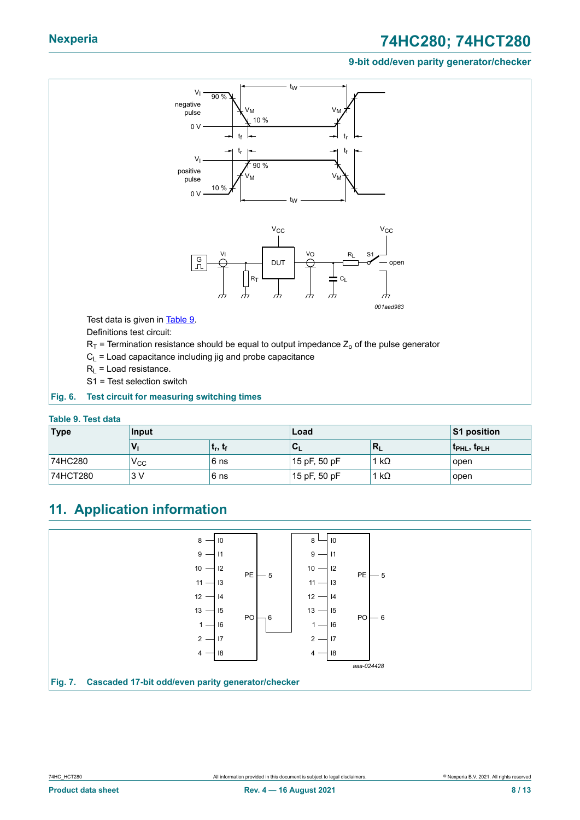#### **9-bit odd/even parity generator/checker**

<span id="page-7-0"></span>

#### <span id="page-7-1"></span>**Table 9. Test data**

| <b>Type</b> | Input        |       | Load            | S1 position  |                   |
|-------------|--------------|-------|-----------------|--------------|-------------------|
|             | W.           | ≀ե, Ե | 'C <sub>L</sub> | 'R,          | <b>TPHL, TPLH</b> |
| 74HC280     | $V_{\rm CC}$ | ∣6 ns | 15 pF, 50 pF    | 1 k $\Omega$ | open              |
| 74HCT280    | 3V           | ∣6 ns | 15 pF, 50 pF    | 1 k $\Omega$ | open              |

### <span id="page-7-2"></span>**11. Application information**

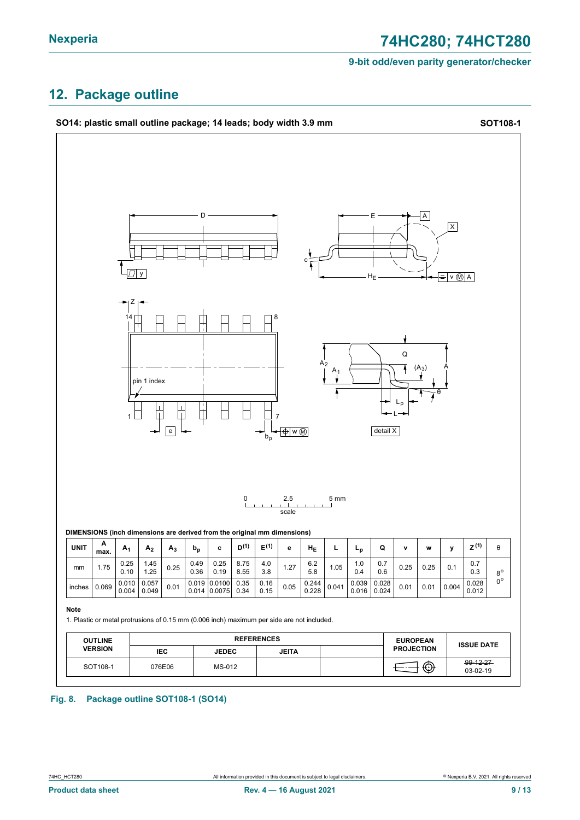### <span id="page-8-0"></span>**12. Package outline**



#### **Fig. 8. Package outline SOT108-1 (SO14)**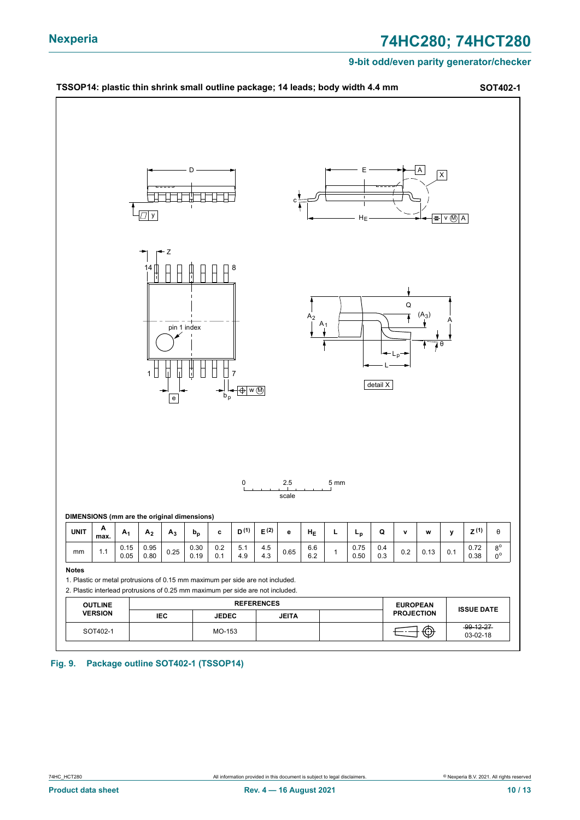

**Fig. 9. Package outline SOT402-1 (TSSOP14)**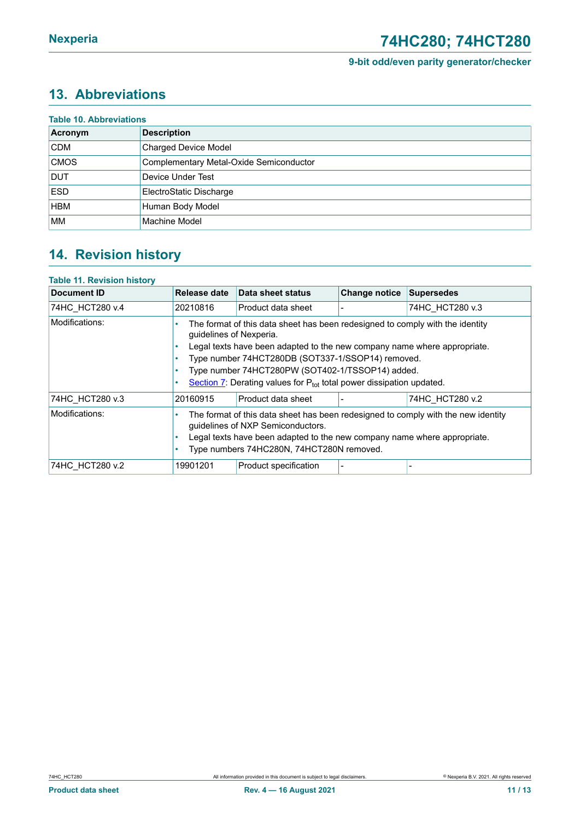### <span id="page-10-0"></span>**13. Abbreviations**

| Acronym     | <b>Description</b>                      |
|-------------|-----------------------------------------|
| <b>CDM</b>  | <b>Charged Device Model</b>             |
| <b>CMOS</b> | Complementary Metal-Oxide Semiconductor |
| DUT         | Device Under Test                       |
| <b>ESD</b>  | ElectroStatic Discharge                 |
| <b>HBM</b>  | Human Body Model                        |
| <b>MM</b>   | Machine Model                           |

# <span id="page-10-1"></span>**14. Revision history**

#### **Table 11. Revision history**

| <b>Document ID</b> | <b>Release date</b>                                                                                                                                                                                                                                                                                                                                                        | Data sheet status     | <b>Change notice</b> | <b>Supersedes</b> |  |
|--------------------|----------------------------------------------------------------------------------------------------------------------------------------------------------------------------------------------------------------------------------------------------------------------------------------------------------------------------------------------------------------------------|-----------------------|----------------------|-------------------|--|
| 74HC HCT280 v.4    | 20210816                                                                                                                                                                                                                                                                                                                                                                   | Product data sheet    |                      | 74HC HCT280 v.3   |  |
| Modifications:     | The format of this data sheet has been redesigned to comply with the identity<br>quidelines of Nexperia.<br>Legal texts have been adapted to the new company name where appropriate.<br>Type number 74HCT280DB (SOT337-1/SSOP14) removed.<br>Type number 74HCT280PW (SOT402-1/TSSOP14) added.<br>Section 7: Derating values for $P_{tot}$ total power dissipation updated. |                       |                      |                   |  |
| 74HC HCT280 v.3    | 20160915                                                                                                                                                                                                                                                                                                                                                                   | Product data sheet    |                      | 74HC HCT280 v.2   |  |
| Modifications:     | The format of this data sheet has been redesigned to comply with the new identity<br>guidelines of NXP Semiconductors.<br>Legal texts have been adapted to the new company name where appropriate.<br>Type numbers 74HC280N, 74HCT280N removed.                                                                                                                            |                       |                      |                   |  |
| 74HC HCT280 v.2    | 19901201                                                                                                                                                                                                                                                                                                                                                                   | Product specification |                      |                   |  |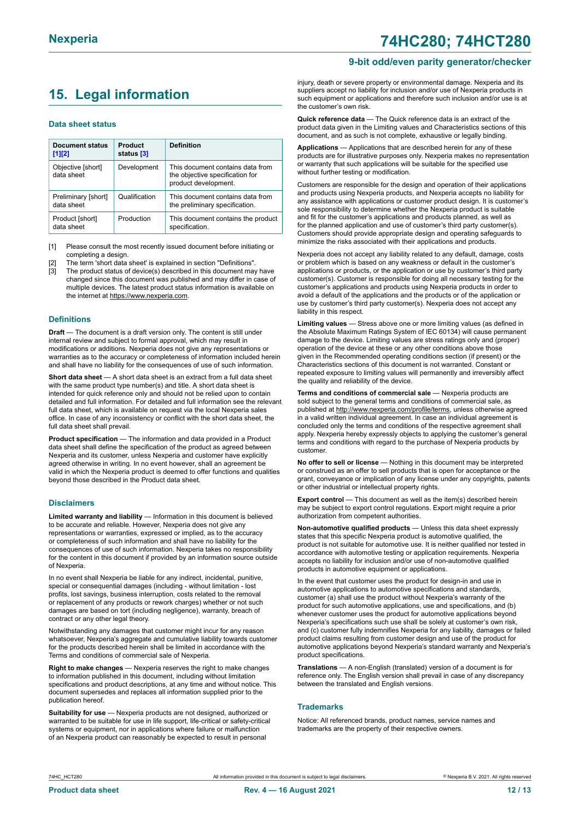### <span id="page-11-0"></span>**15. Legal information**

#### **Data sheet status**

| <b>Document status</b><br>$[1]$ [2] | Product<br>status [3] | <b>Definition</b>                                                                           |
|-------------------------------------|-----------------------|---------------------------------------------------------------------------------------------|
| Objective [short]<br>data sheet     | Development           | This document contains data from<br>the objective specification for<br>product development. |
| Preliminary [short]<br>data sheet   | Qualification         | This document contains data from<br>the preliminary specification.                          |
| Product [short]<br>data sheet       | Production            | This document contains the product<br>specification.                                        |

[1] Please consult the most recently issued document before initiating or completing a design.

- The term 'short data sheet' is explained in section "Definitions".
- [3] The product status of device(s) described in this document may have changed since this document was published and may differ in case of multiple devices. The latest product status information is available on the internet at [https://www.nexperia.com.](https://www.nexperia.com)

#### **Definitions**

**Draft** — The document is a draft version only. The content is still under internal review and subject to formal approval, which may result in modifications or additions. Nexperia does not give any representations or warranties as to the accuracy or completeness of information included herein and shall have no liability for the consequences of use of such information.

**Short data sheet** — A short data sheet is an extract from a full data sheet with the same product type number(s) and title. A short data sheet is intended for quick reference only and should not be relied upon to contain detailed and full information. For detailed and full information see the relevant full data sheet, which is available on request via the local Nexperia sales office. In case of any inconsistency or conflict with the short data sheet, the full data sheet shall prevail.

**Product specification** — The information and data provided in a Product data sheet shall define the specification of the product as agreed between Nexperia and its customer, unless Nexperia and customer have explicitly agreed otherwise in writing. In no event however, shall an agreement be valid in which the Nexperia product is deemed to offer functions and qualities beyond those described in the Product data sheet.

#### **Disclaimers**

**Limited warranty and liability** — Information in this document is believed to be accurate and reliable. However, Nexperia does not give any representations or warranties, expressed or implied, as to the accuracy or completeness of such information and shall have no liability for the consequences of use of such information. Nexperia takes no responsibility for the content in this document if provided by an information source outside of Nexperia.

In no event shall Nexperia be liable for any indirect, incidental, punitive, special or consequential damages (including - without limitation - lost profits, lost savings, business interruption, costs related to the removal or replacement of any products or rework charges) whether or not such damages are based on tort (including negligence), warranty, breach of contract or any other legal theory.

Notwithstanding any damages that customer might incur for any reason whatsoever, Nexperia's aggregate and cumulative liability towards customer for the products described herein shall be limited in accordance with the Terms and conditions of commercial sale of Nexperia.

**Right to make changes** — Nexperia reserves the right to make changes to information published in this document, including without limitation specifications and product descriptions, at any time and without notice. This document supersedes and replaces all information supplied prior to the publication hereof

**Suitability for use** — Nexperia products are not designed, authorized or warranted to be suitable for use in life support, life-critical or safety-critical systems or equipment, nor in applications where failure or malfunction of an Nexperia product can reasonably be expected to result in personal

#### **9-bit odd/even parity generator/checker**

injury, death or severe property or environmental damage. Nexperia and its suppliers accept no liability for inclusion and/or use of Nexperia products in such equipment or applications and therefore such inclusion and/or use is at the customer's own risk.

**Quick reference data** — The Quick reference data is an extract of the product data given in the Limiting values and Characteristics sections of this document, and as such is not complete, exhaustive or legally binding.

**Applications** — Applications that are described herein for any of these products are for illustrative purposes only. Nexperia makes no representation or warranty that such applications will be suitable for the specified use without further testing or modification.

Customers are responsible for the design and operation of their applications and products using Nexperia products, and Nexperia accepts no liability for any assistance with applications or customer product design. It is customer's sole responsibility to determine whether the Nexperia product is suitable and fit for the customer's applications and products planned, as well as for the planned application and use of customer's third party customer(s). Customers should provide appropriate design and operating safeguards to minimize the risks associated with their applications and products.

Nexperia does not accept any liability related to any default, damage, costs or problem which is based on any weakness or default in the customer's applications or products, or the application or use by customer's third party customer(s). Customer is responsible for doing all necessary testing for the customer's applications and products using Nexperia products in order to avoid a default of the applications and the products or of the application or use by customer's third party customer(s). Nexperia does not accept any liability in this respect.

**Limiting values** — Stress above one or more limiting values (as defined in the Absolute Maximum Ratings System of IEC 60134) will cause permanent damage to the device. Limiting values are stress ratings only and (proper) operation of the device at these or any other conditions above those given in the Recommended operating conditions section (if present) or the Characteristics sections of this document is not warranted. Constant or repeated exposure to limiting values will permanently and irreversibly affect the quality and reliability of the device.

**Terms and conditions of commercial sale** — Nexperia products are sold subject to the general terms and conditions of commercial sale, as published at [http://www.nexperia.com/profile/terms,](http://www.nexperia.com/profile/terms) unless otherwise agreed in a valid written individual agreement. In case an individual agreement is concluded only the terms and conditions of the respective agreement shall apply. Nexperia hereby expressly objects to applying the customer's general terms and conditions with regard to the purchase of Nexperia products by customer.

**No offer to sell or license** — Nothing in this document may be interpreted or construed as an offer to sell products that is open for acceptance or the grant, conveyance or implication of any license under any copyrights, patents or other industrial or intellectual property rights.

**Export control** — This document as well as the item(s) described herein may be subject to export control regulations. Export might require a prior authorization from competent authorities.

**Non-automotive qualified products** — Unless this data sheet expressly states that this specific Nexperia product is automotive qualified, the product is not suitable for automotive use. It is neither qualified nor tested in accordance with automotive testing or application requirements. Nexperia accepts no liability for inclusion and/or use of non-automotive qualified products in automotive equipment or applications.

In the event that customer uses the product for design-in and use in automotive applications to automotive specifications and standards, customer (a) shall use the product without Nexperia's warranty of the product for such automotive applications, use and specifications, and (b) whenever customer uses the product for automotive applications beyond Nexperia's specifications such use shall be solely at customer's own risk, and (c) customer fully indemnifies Nexperia for any liability, damages or failed product claims resulting from customer design and use of the product for automotive applications beyond Nexperia's standard warranty and Nexperia's product specifications.

**Translations** — A non-English (translated) version of a document is for reference only. The English version shall prevail in case of any discrepancy between the translated and English versions.

#### **Trademarks**

Notice: All referenced brands, product names, service names and trademarks are the property of their respective owners.